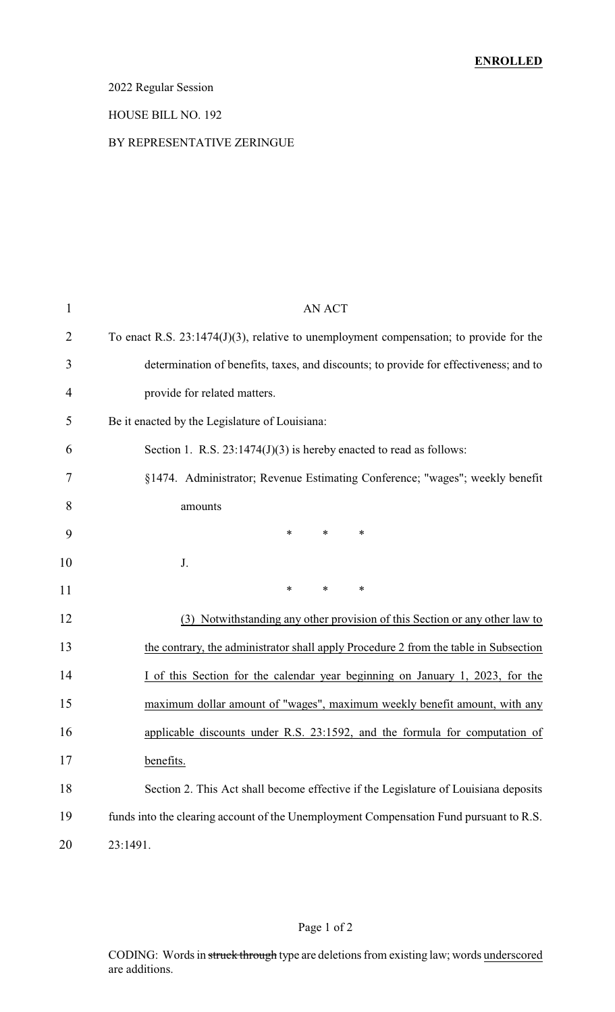## 2022 Regular Session

#### HOUSE BILL NO. 192

#### BY REPRESENTATIVE ZERINGUE

| $\mathbf{1}$   | <b>AN ACT</b>                                                                             |
|----------------|-------------------------------------------------------------------------------------------|
| $\overline{2}$ | To enact R.S. $23:1474(J)(3)$ , relative to unemployment compensation; to provide for the |
| 3              | determination of benefits, taxes, and discounts; to provide for effectiveness; and to     |
| 4              | provide for related matters.                                                              |
| 5              | Be it enacted by the Legislature of Louisiana:                                            |
| 6              | Section 1. R.S. $23:1474(J)(3)$ is hereby enacted to read as follows:                     |
| 7              | §1474. Administrator; Revenue Estimating Conference; "wages"; weekly benefit              |
| 8              | amounts                                                                                   |
| 9              | $\ast$<br>*<br>∗                                                                          |
| 10             | J.                                                                                        |
| 11             | *<br>$\ast$<br>$\ast$                                                                     |
| 12             | (3) Notwithstanding any other provision of this Section or any other law to               |
| 13             | the contrary, the administrator shall apply Procedure 2 from the table in Subsection      |
| 14             | I of this Section for the calendar year beginning on January 1, 2023, for the             |
| 15             | maximum dollar amount of "wages", maximum weekly benefit amount, with any                 |
| 16             | applicable discounts under R.S. 23:1592, and the formula for computation of               |
| 17             | benefits.                                                                                 |
| 18             | Section 2. This Act shall become effective if the Legislature of Louisiana deposits       |
| 19             | funds into the clearing account of the Unemployment Compensation Fund pursuant to R.S.    |
| 20             | 23:1491.                                                                                  |
|                |                                                                                           |

CODING: Words in struck through type are deletions from existing law; words underscored are additions.